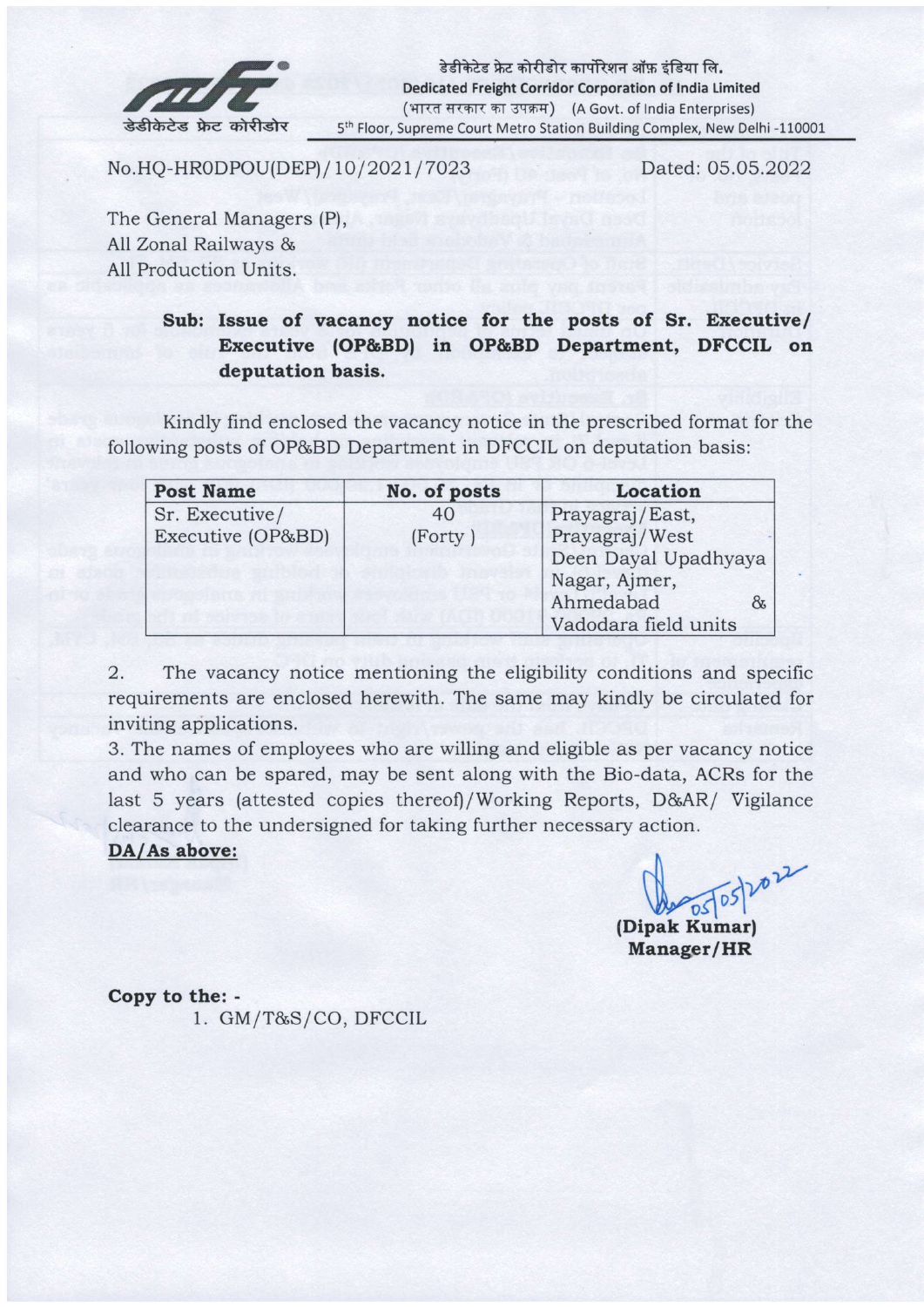

No.HQ-HR0DPOU(DEP) / 10/2021/7023

Dated: 05.05.2022

The General Managers (P), All Zonal Railways & A11 Production Units.

### Sub: Issue of vacancy notice for the posts of Sr. Executive/ Executive (OP&BD) in OP&BD Department, DFCCIL on deputation basis.

Kindly find enclosed the vacancy notice in the prescribed format for the following posts of OP&BD Department in DFCCIL on deputation basis:

| <b>Post Name</b>  | No. of posts | Location             |
|-------------------|--------------|----------------------|
| Sr. Executive/    | 40           | Prayagraj/East,      |
| Executive (OP&BD) | (Forty)      | Prayagraj/West       |
|                   |              | Deen Dayal Upadhyaya |
|                   |              | Nagar, Ajmer,        |
|                   |              | Ahmedabad<br>8       |
|                   |              | Vadodara field units |

2. The vacancy notice mentioning the eligibility conditions and specific requirements are enclosed herewith. The same may kindly be circulated for inviting applications.

3. The names of employees who are willing and eligible as per vacancy notice and who can be spared, may be sent along with the Bio-data, ACRs for the last 5 years (attested copies thereof)/Working Reports, D&AR/ Vigilance clearance to the undersigned for taking further necessary action.

#### DA/As above:

 $\int_{\text{D}} \frac{\log |\partial S|}{\partial S} dV$ 

Manager/HR

Copy to the: - 1. GM/T&S/CO, DFCCTL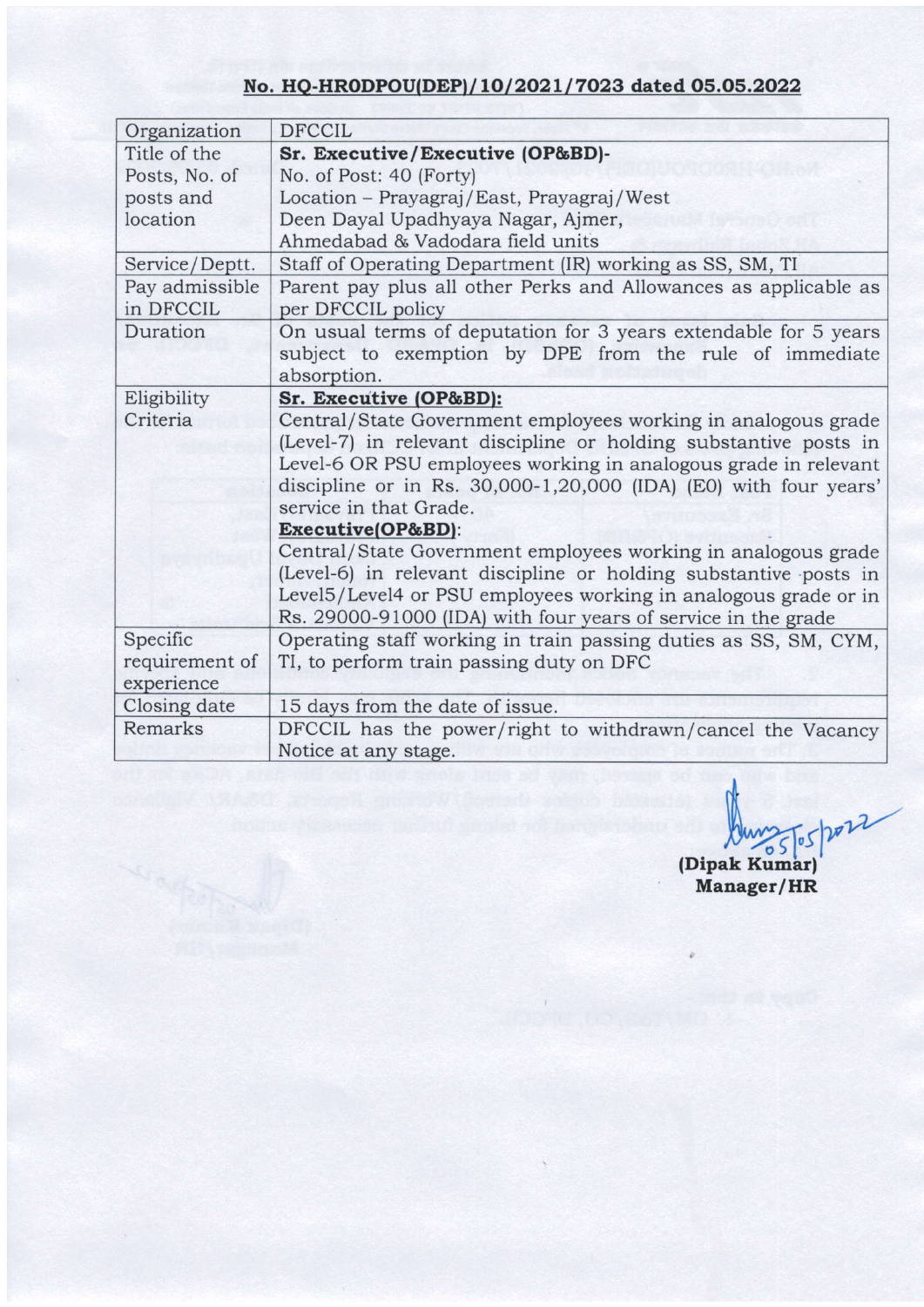## No. HQ-HRODPOU(DEP)/10/2021/7023 dated 05.05.2022

| Organization   | <b>DFCCIL</b>                                                    |  |  |
|----------------|------------------------------------------------------------------|--|--|
| Title of the   | Sr. Executive/Executive (OP&BD)-                                 |  |  |
| Posts, No. of  | No. of Post: 40 (Forty)                                          |  |  |
| posts and      | Location - Prayagraj/East, Prayagraj/West                        |  |  |
| location       | Deen Dayal Upadhyaya Nagar, Ajmer,                               |  |  |
|                | Ahmedabad & Vadodara field units                                 |  |  |
| Service/Deptt. | Staff of Operating Department (IR) working as SS, SM, TI         |  |  |
| Pay admissible | Parent pay plus all other Perks and Allowances as applicable as  |  |  |
| in DFCCIL      | per DFCCIL policy                                                |  |  |
| Duration       | On usual terms of deputation for 3 years extendable for 5 years  |  |  |
|                | subject to exemption by DPE from the rule of immediate           |  |  |
|                | absorption.                                                      |  |  |
| Eligibility    | Sr. Executive (OP&BD):                                           |  |  |
| Criteria       | Central/State Government employees working in analogous grade    |  |  |
|                | (Level-7) in relevant discipline or holding substantive posts in |  |  |
|                | Level-6 OR PSU employees working in analogous grade in relevant  |  |  |
|                | discipline or in Rs. 30,000-1,20,000 (IDA) (E0) with four years' |  |  |
|                | service in that Grade.                                           |  |  |
|                | Executive(OP&BD):                                                |  |  |
|                | Central/State Government employees working in analogous grade    |  |  |
|                | (Level-6) in relevant discipline or holding substantive posts in |  |  |
|                | Level5/Level4 or PSU employees working in analogous grade or in  |  |  |
|                | Rs. 29000-91000 (IDA) with four years of service in the grade    |  |  |
| Specific       | Operating staff working in train passing duties as SS, SM, CYM,  |  |  |
| requirement of | TI, to perform train passing duty on DFC                         |  |  |
| experience     |                                                                  |  |  |
| Closing date   | 15 days from the date of issue.                                  |  |  |
| Remarks        | DFCCIL has the power/right to withdrawn/cancel the Vacancy       |  |  |
|                | Notice at any stage.                                             |  |  |

Aunst 1022

(Dipak Kumar) Manager/HR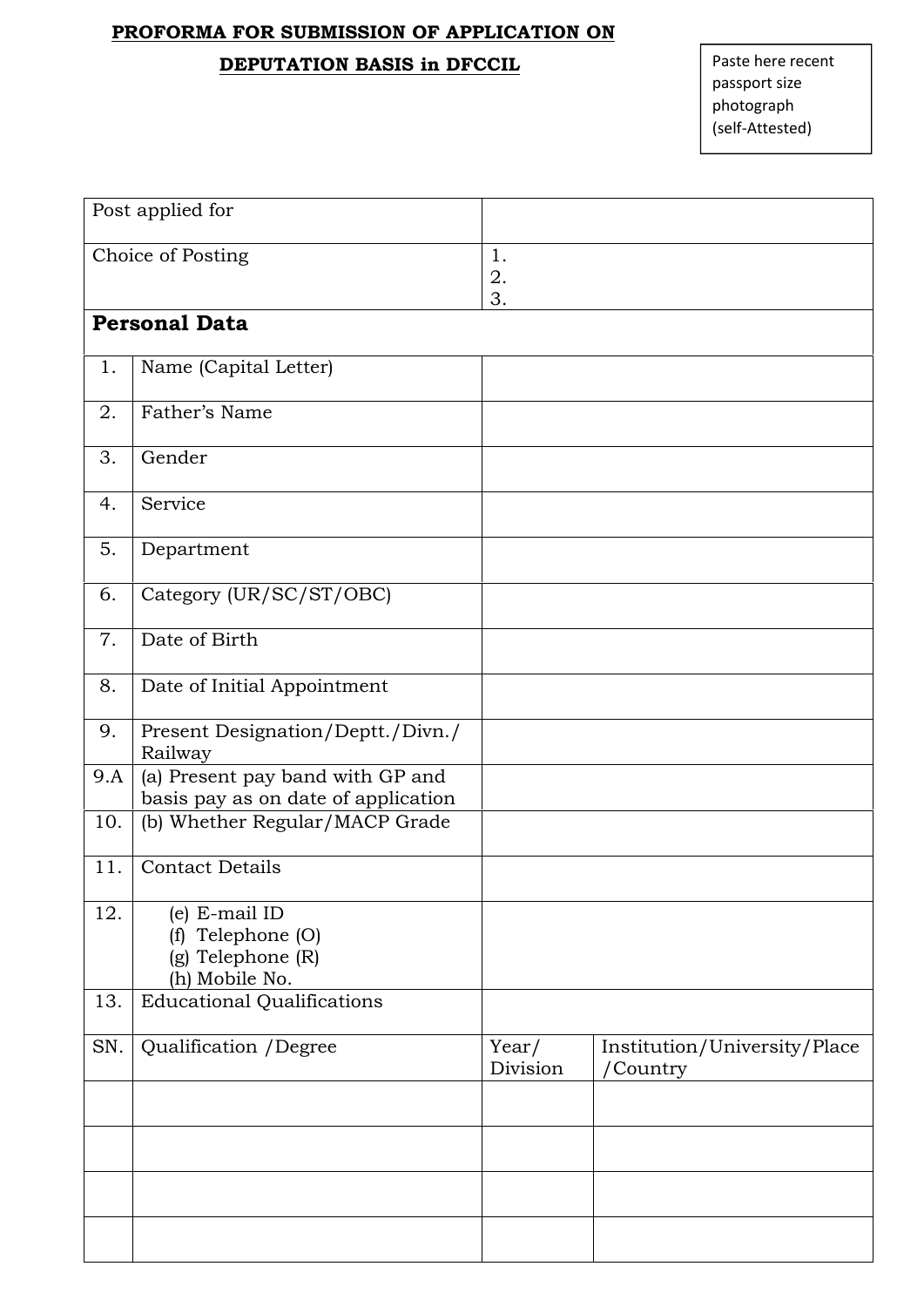#### **PROFORMA FOR SUBMISSION OF APPLICATION ON**

## **DEPUTATION BASIS in DFCCIL**

| Choice of Posting<br>1.<br>2.<br>3.<br><b>Personal Data</b><br>Name (Capital Letter)<br>1.<br>Father's Name<br>2.<br>3.<br>Gender<br>Service<br>4.<br>5.<br>Department<br>Category (UR/SC/ST/OBC)<br>6.<br>Date of Birth<br>7.<br>Date of Initial Appointment<br>8.<br>Present Designation/Deptt./Divn./<br>9.<br>Railway<br>(a) Present pay band with GP and<br>9.A<br>basis pay as on date of application<br>(b) Whether Regular/MACP Grade<br>10.<br>11.<br><b>Contact Details</b><br>12.<br>(e) E-mail ID<br>Telephone (O)<br>(f)<br>(g) Telephone (R)<br>(h) Mobile No.<br><b>Educational Qualifications</b><br>13.<br>Qualification /Degree<br>SN.<br>Year/<br>/Country<br>Division | Post applied for |                              |
|-------------------------------------------------------------------------------------------------------------------------------------------------------------------------------------------------------------------------------------------------------------------------------------------------------------------------------------------------------------------------------------------------------------------------------------------------------------------------------------------------------------------------------------------------------------------------------------------------------------------------------------------------------------------------------------------|------------------|------------------------------|
|                                                                                                                                                                                                                                                                                                                                                                                                                                                                                                                                                                                                                                                                                           |                  |                              |
|                                                                                                                                                                                                                                                                                                                                                                                                                                                                                                                                                                                                                                                                                           |                  |                              |
|                                                                                                                                                                                                                                                                                                                                                                                                                                                                                                                                                                                                                                                                                           |                  |                              |
|                                                                                                                                                                                                                                                                                                                                                                                                                                                                                                                                                                                                                                                                                           |                  |                              |
|                                                                                                                                                                                                                                                                                                                                                                                                                                                                                                                                                                                                                                                                                           |                  |                              |
|                                                                                                                                                                                                                                                                                                                                                                                                                                                                                                                                                                                                                                                                                           |                  |                              |
|                                                                                                                                                                                                                                                                                                                                                                                                                                                                                                                                                                                                                                                                                           |                  |                              |
|                                                                                                                                                                                                                                                                                                                                                                                                                                                                                                                                                                                                                                                                                           |                  |                              |
|                                                                                                                                                                                                                                                                                                                                                                                                                                                                                                                                                                                                                                                                                           |                  |                              |
|                                                                                                                                                                                                                                                                                                                                                                                                                                                                                                                                                                                                                                                                                           |                  |                              |
|                                                                                                                                                                                                                                                                                                                                                                                                                                                                                                                                                                                                                                                                                           |                  |                              |
|                                                                                                                                                                                                                                                                                                                                                                                                                                                                                                                                                                                                                                                                                           |                  |                              |
|                                                                                                                                                                                                                                                                                                                                                                                                                                                                                                                                                                                                                                                                                           |                  |                              |
|                                                                                                                                                                                                                                                                                                                                                                                                                                                                                                                                                                                                                                                                                           |                  |                              |
|                                                                                                                                                                                                                                                                                                                                                                                                                                                                                                                                                                                                                                                                                           |                  |                              |
|                                                                                                                                                                                                                                                                                                                                                                                                                                                                                                                                                                                                                                                                                           |                  |                              |
|                                                                                                                                                                                                                                                                                                                                                                                                                                                                                                                                                                                                                                                                                           |                  | Institution/University/Place |
|                                                                                                                                                                                                                                                                                                                                                                                                                                                                                                                                                                                                                                                                                           |                  |                              |
|                                                                                                                                                                                                                                                                                                                                                                                                                                                                                                                                                                                                                                                                                           |                  |                              |
|                                                                                                                                                                                                                                                                                                                                                                                                                                                                                                                                                                                                                                                                                           |                  |                              |